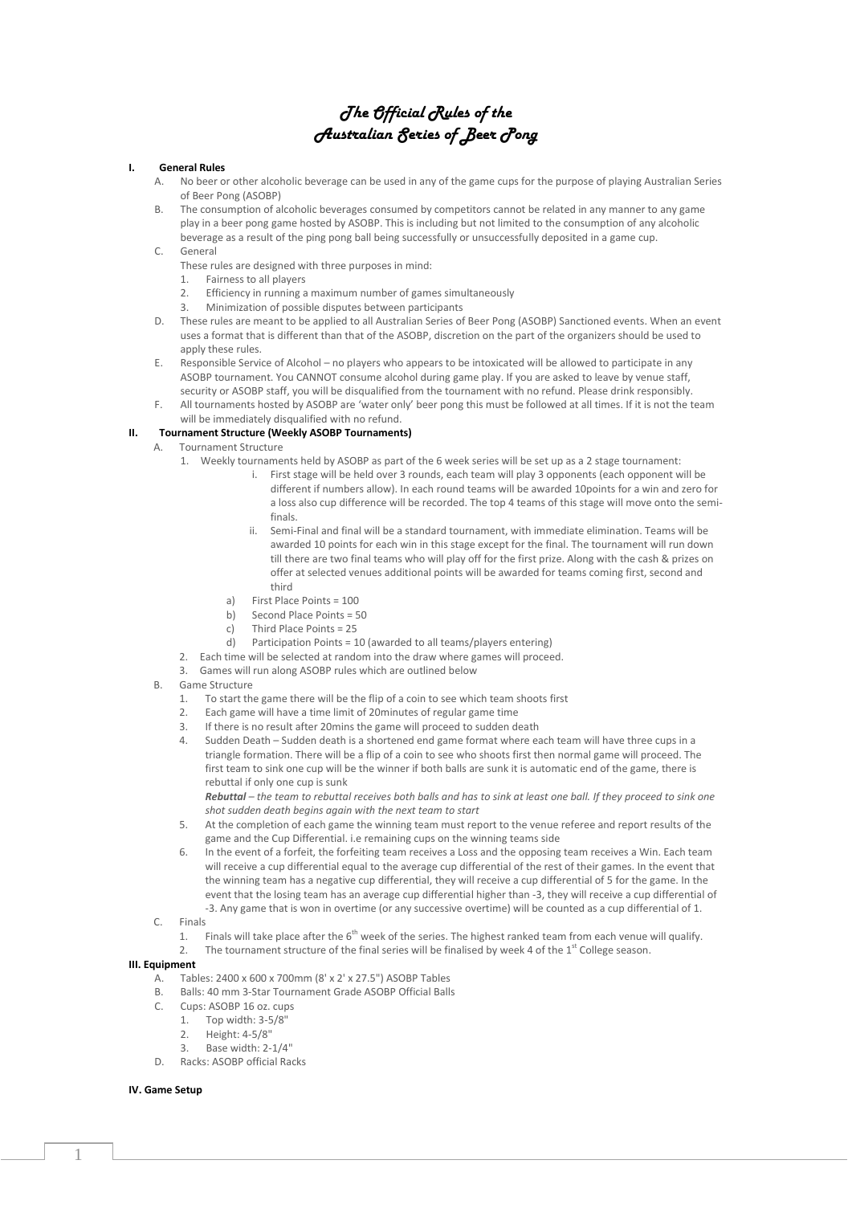# *The Official Rules of the Australian Series of Beer Pong*

#### **I. General Rules**

- A. No beer or other alcoholic beverage can be used in any of the game cups for the purpose of playing Australian Series of Beer Pong (ASOBP)
- B. The consumption of alcoholic beverages consumed by competitors cannot be related in any manner to any game play in a beer pong game hosted by ASOBP. This is including but not limited to the consumption of any alcoholic beverage as a result of the ping pong ball being successfully or unsuccessfully deposited in a game cup.

## C. General

- These rules are designed with three purposes in mind:
- 1. Fairness to all players
- 2. Efficiency in running a maximum number of games simultaneously
- 3. Minimization of possible disputes between participants
- D. These rules are meant to be applied to all Australian Series of Beer Pong (ASOBP) Sanctioned events. When an event uses a format that is different than that of the ASOBP, discretion on the part of the organizers should be used to apply these rules.
- E. Responsible Service of Alcohol no players who appears to be intoxicated will be allowed to participate in any ASOBP tournament. You CANNOT consume alcohol during game play. If you are asked to leave by venue staff, security or ASOBP staff, you will be disqualified from the tournament with no refund. Please drink responsibly.
- F. All tournaments hosted by ASOBP are 'water only' beer pong this must be followed at all times. If it is not the team will be immediately disqualified with no refund.

## **II. Tournament Structure (Weekly ASOBP Tournaments)**

- A. Tournament Structure
	- 1. Weekly tournaments held by ASOBP as part of the 6 week series will be set up as a 2 stage tournament:
		- i. First stage will be held over 3 rounds, each team will play 3 opponents (each opponent will be different if numbers allow). In each round teams will be awarded 10points for a win and zero for a loss also cup difference will be recorded. The top 4 teams of this stage will move onto the semifinals.
		- ii. Semi-Final and final will be a standard tournament, with immediate elimination. Teams will be awarded 10 points for each win in this stage except for the final. The tournament will run down till there are two final teams who will play off for the first prize. Along with the cash & prizes on offer at selected venues additional points will be awarded for teams coming first, second and third
		- a) First Place Points = 100
		- b) Second Place Points = 50
		- c) Third Place Points = 25
		- d) Participation Points = 10 (awarded to all teams/players entering)
	- 2. Each time will be selected at random into the draw where games will proceed.
	- 3. Games will run along ASOBP rules which are outlined below
- B. Game Structure
	- 1. To start the game there will be the flip of a coin to see which team shoots first
	- 2. Each game will have a time limit of 20minutes of regular game time
	- 3. If there is no result after 20mins the game will proceed to sudden death
	- 4. Sudden Death Sudden death is a shortened end game format where each team will have three cups in a triangle formation. There will be a flip of a coin to see who shoots first then normal game will proceed. The first team to sink one cup will be the winner if both balls are sunk it is automatic end of the game, there is rebuttal if only one cup is sunk

*Rebuttal – the team to rebuttal receives both balls and has to sink at least one ball. If they proceed to sink one shot sudden death begins again with the next team to start*

- 5. At the completion of each game the winning team must report to the venue referee and report results of the game and the Cup Differential. i.e remaining cups on the winning teams side
- 6. In the event of a forfeit, the forfeiting team receives a Loss and the opposing team receives a Win. Each team will receive a cup differential equal to the average cup differential of the rest of their games. In the event that the winning team has a negative cup differential, they will receive a cup differential of 5 for the game. In the event that the losing team has an average cup differential higher than -3, they will receive a cup differential of -3. Any game that is won in overtime (or any successive overtime) will be counted as a cup differential of 1.
- C. Finals
	- 1. Finals will take place after the  $6<sup>th</sup>$  week of the series. The highest ranked team from each venue will qualify.
	- 2. The tournament structure of the final series will be finalised by week 4 of the  $1<sup>st</sup>$  College season.

#### **III. Equipment**

- A. Tables: 2400 x 600 x 700mm (8' x 2' x 27.5") ASOBP Tables
- B. Balls: 40 mm 3-Star Tournament Grade ASOBP Official Balls
- C. Cups: ASOBP 16 oz. cups
- 1. Top width: 3-5/8"
	- $2.$  Height:  $4-5/8"$
	- 3. Base width: 2-1/4"
- D. Racks: ASOBP official Racks

## **IV. Game Setup**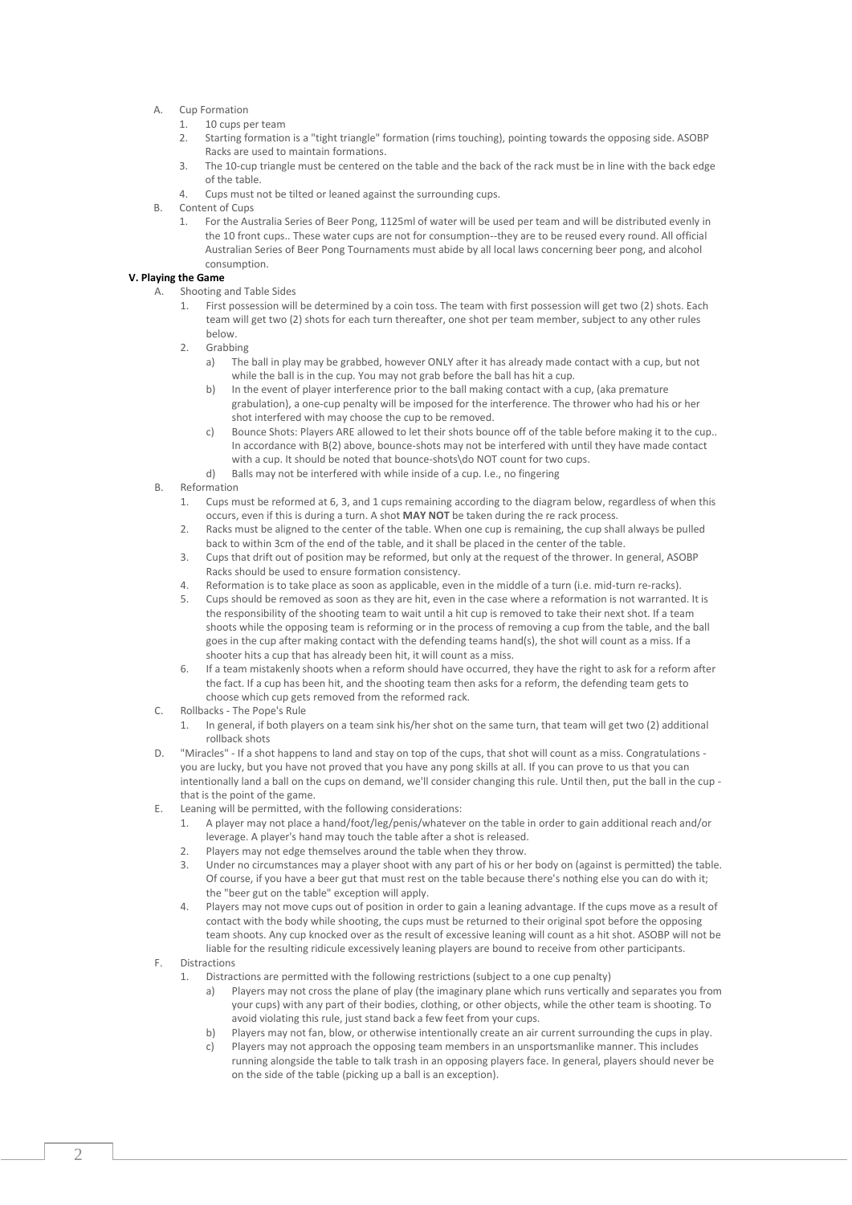- A. Cup Formation
	- 1. 10 cups per team
	- 2. Starting formation is a "tight triangle" formation (rims touching), pointing towards the opposing side. ASOBP Racks are used to maintain formations.
	- 3. The 10-cup triangle must be centered on the table and the back of the rack must be in line with the back edge of the table.
	- 4. Cups must not be tilted or leaned against the surrounding cups.
- B. Content of Cups
	- 1. For the Australia Series of Beer Pong, 1125ml of water will be used per team and will be distributed evenly in the 10 front cups.. These water cups are not for consumption--they are to be reused every round. All official Australian Series of Beer Pong Tournaments must abide by all local laws concerning beer pong, and alcohol consumption.

# **V. Playing the Game**

- A. Shooting and Table Sides<br>1. First possession will
	- 1. First possession will be determined by a coin toss. The team with first possession will get two (2) shots. Each team will get two (2) shots for each turn thereafter, one shot per team member, subject to any other rules below.
	- 2. Grabbing
		- a) The ball in play may be grabbed, however ONLY after it has already made contact with a cup, but not while the ball is in the cup. You may not grab before the ball has hit a cup.
		- b) In the event of player interference prior to the ball making contact with a cup, (aka premature grabulation), a one-cup penalty will be imposed for the interference. The thrower who had his or her shot interfered with may choose the cup to be removed.
		- c) Bounce Shots: Players ARE allowed to let their shots bounce off of the table before making it to the cup.. In accordance with B(2) above, bounce-shots may not be interfered with until they have made contact with a cup. It should be noted that bounce-shots\do NOT count for two cups.
		- d) Balls may not be interfered with while inside of a cup. I.e., no fingering
- B. Reformation
	- 1. Cups must be reformed at 6, 3, and 1 cups remaining according to the diagram below, regardless of when this occurs, even if this is during a turn. A shot **MAY NOT** be taken during the re rack process.
	- 2. Racks must be aligned to the center of the table. When one cup is remaining, the cup shall always be pulled back to within 3cm of the end of the table, and it shall be placed in the center of the table.
	- 3. Cups that drift out of position may be reformed, but only at the request of the thrower. In general, ASOBP Racks should be used to ensure formation consistency.
	- 4. Reformation is to take place as soon as applicable, even in the middle of a turn (i.e. mid-turn re-racks).
	- 5. Cups should be removed as soon as they are hit, even in the case where a reformation is not warranted. It is the responsibility of the shooting team to wait until a hit cup is removed to take their next shot. If a team shoots while the opposing team is reforming or in the process of removing a cup from the table, and the ball goes in the cup after making contact with the defending teams hand(s), the shot will count as a miss. If a shooter hits a cup that has already been hit, it will count as a miss.
	- 6. If a team mistakenly shoots when a reform should have occurred, they have the right to ask for a reform after the fact. If a cup has been hit, and the shooting team then asks for a reform, the defending team gets to choose which cup gets removed from the reformed rack.
- C. Rollbacks The Pope's Rule
	- 1. In general, if both players on a team sink his/her shot on the same turn, that team will get two (2) additional rollback shots
- D. "Miracles" If a shot happens to land and stay on top of the cups, that shot will count as a miss. Congratulations you are lucky, but you have not proved that you have any pong skills at all. If you can prove to us that you can intentionally land a ball on the cups on demand, we'll consider changing this rule. Until then, put the ball in the cup that is the point of the game.
- E. Leaning will be permitted, with the following considerations:
	- 1. A player may not place a hand/foot/leg/penis/whatever on the table in order to gain additional reach and/or leverage. A player's hand may touch the table after a shot is released.
	- Players may not edge themselves around the table when they throw.
	- 3. Under no circumstances may a player shoot with any part of his or her body on (against is permitted) the table. Of course, if you have a beer gut that must rest on the table because there's nothing else you can do with it; the "beer gut on the table" exception will apply.
	- 4. Players may not move cups out of position in order to gain a leaning advantage. If the cups move as a result of contact with the body while shooting, the cups must be returned to their original spot before the opposing team shoots. Any cup knocked over as the result of excessive leaning will count as a hit shot. ASOBP will not be liable for the resulting ridicule excessively leaning players are bound to receive from other participants.
- F. Distractions
	- 1. Distractions are permitted with the following restrictions (subject to a one cup penalty)
		- Players may not cross the plane of play (the imaginary plane which runs vertically and separates you from your cups) with any part of their bodies, clothing, or other objects, while the other team is shooting. To avoid violating this rule, just stand back a few feet from your cups.
		- b) Players may not fan, blow, or otherwise intentionally create an air current surrounding the cups in play.
		- c) Players may not approach the opposing team members in an unsportsmanlike manner. This includes running alongside the table to talk trash in an opposing players face. In general, players should never be on the side of the table (picking up a ball is an exception).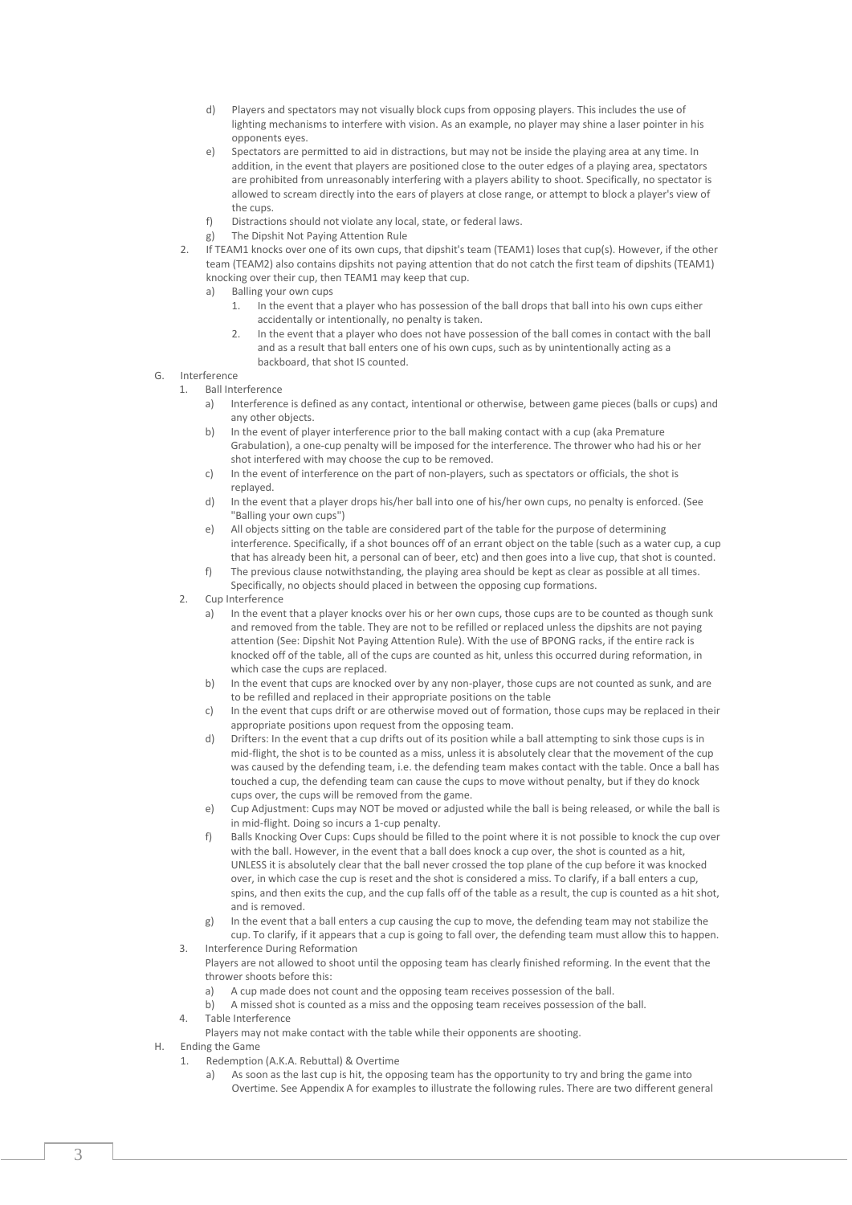- d) Players and spectators may not visually block cups from opposing players. This includes the use of lighting mechanisms to interfere with vision. As an example, no player may shine a laser pointer in his opponents eyes.
- e) Spectators are permitted to aid in distractions, but may not be inside the playing area at any time. In addition, in the event that players are positioned close to the outer edges of a playing area, spectators are prohibited from unreasonably interfering with a players ability to shoot. Specifically, no spectator is allowed to scream directly into the ears of players at close range, or attempt to block a player's view of the cups.
- f) Distractions should not violate any local, state, or federal laws.
- g) The Dipshit Not Paying Attention Rule
- 2. If TEAM1 knocks over one of its own cups, that dipshit's team (TEAM1) loses that cup(s). However, if the other team (TEAM2) also contains dipshits not paying attention that do not catch the first team of dipshits (TEAM1) knocking over their cup, then TEAM1 may keep that cup.
	- a) Balling your own cups<br>1. In the event that
		- 1. In the event that a player who has possession of the ball drops that ball into his own cups either accidentally or intentionally, no penalty is taken.
		- 2. In the event that a player who does not have possession of the ball comes in contact with the ball and as a result that ball enters one of his own cups, such as by unintentionally acting as a backboard, that shot IS counted.
- G. Interference
	- 1. Ball Interference
		- a) Interference is defined as any contact, intentional or otherwise, between game pieces (balls or cups) and any other objects.
		- b) In the event of player interference prior to the ball making contact with a cup (aka Premature Grabulation), a one-cup penalty will be imposed for the interference. The thrower who had his or her shot interfered with may choose the cup to be removed.
		- c) In the event of interference on the part of non-players, such as spectators or officials, the shot is replayed.
		- d) In the event that a player drops his/her ball into one of his/her own cups, no penalty is enforced. (See "Balling your own cups")
		- e) All objects sitting on the table are considered part of the table for the purpose of determining interference. Specifically, if a shot bounces off of an errant object on the table (such as a water cup, a cup that has already been hit, a personal can of beer, etc) and then goes into a live cup, that shot is counted.
		- f) The previous clause notwithstanding, the playing area should be kept as clear as possible at all times. Specifically, no objects should placed in between the opposing cup formations.
	- 2. Cup Interference
		- a) In the event that a player knocks over his or her own cups, those cups are to be counted as though sunk and removed from the table. They are not to be refilled or replaced unless the dipshits are not paying attention (See: Dipshit Not Paying Attention Rule). With the use of BPONG racks, if the entire rack is knocked off of the table, all of the cups are counted as hit, unless this occurred during reformation, in which case the cups are replaced.
		- b) In the event that cups are knocked over by any non-player, those cups are not counted as sunk, and are to be refilled and replaced in their appropriate positions on the table
		- c) In the event that cups drift or are otherwise moved out of formation, those cups may be replaced in their appropriate positions upon request from the opposing team.
		- d) Drifters: In the event that a cup drifts out of its position while a ball attempting to sink those cups is in mid-flight, the shot is to be counted as a miss, unless it is absolutely clear that the movement of the cup was caused by the defending team, i.e. the defending team makes contact with the table. Once a ball has touched a cup, the defending team can cause the cups to move without penalty, but if they do knock cups over, the cups will be removed from the game.
		- e) Cup Adjustment: Cups may NOT be moved or adjusted while the ball is being released, or while the ball is in mid-flight. Doing so incurs a 1-cup penalty.
		- f) Balls Knocking Over Cups: Cups should be filled to the point where it is not possible to knock the cup over with the ball. However, in the event that a ball does knock a cup over, the shot is counted as a hit, UNLESS it is absolutely clear that the ball never crossed the top plane of the cup before it was knocked over, in which case the cup is reset and the shot is considered a miss. To clarify, if a ball enters a cup, spins, and then exits the cup, and the cup falls off of the table as a result, the cup is counted as a hit shot, and is removed.
		- g) In the event that a ball enters a cup causing the cup to move, the defending team may not stabilize the cup. To clarify, if it appears that a cup is going to fall over, the defending team must allow this to happen.
	- 3. Interference During Reformation Players are not allowed to shoot until the opposing team has clearly finished reforming. In the event that the thrower shoots before this:
		- a) A cup made does not count and the opposing team receives possession of the ball.
		- b) A missed shot is counted as a miss and the opposing team receives possession of the ball.
	- 4. Table Interference
	- Players may not make contact with the table while their opponents are shooting.
- H. Ending the Game
	- 1. Redemption (A.K.A. Rebuttal) & Overtime
		- a) As soon as the last cup is hit, the opposing team has the opportunity to try and bring the game into Overtime. See Appendix A for examples to illustrate the following rules. There are two different general